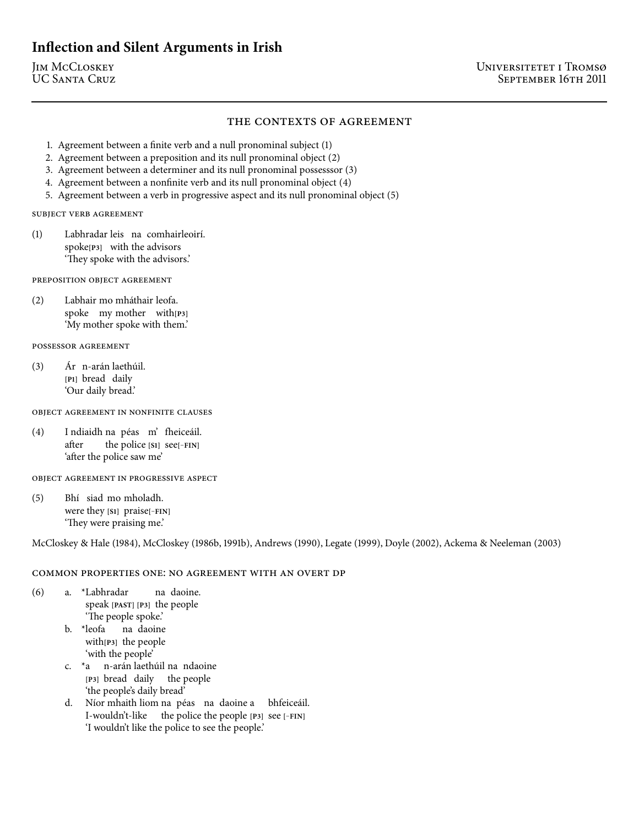# **Inflection and Silent Arguments in Irish**

## THE CONTEXTS OF AGREEMENT

- 1. Agreement between a finite verb and a null pronominal subject (1)
- 2. Agreement between a preposition and its null pronominal object (2)
- 3. Agreement between a determiner and its null pronominal possesssor (3)
- 4. Agreement between a nonfinite verb and its null pronominal object (4)
- 5. Agreement between a verb in progressive aspect and its null pronominal object (5)

SUBJECT VERB AGREEMENT

() Labhradar leis na comhairleoirí. spoke<sup>[P3]</sup> with the advisors 'They spoke with the advisors.'

PREPOSITION OBJECT AGREEMENT

() Labhair mo mháthair leofa. spoke my mother with[P3] 'My mother spoke with them.'

POSSESSOR AGREEMENT

 $(3)$ **[P]** bread daily n-arán laethúil. 'Our daily bread.'

OBJECT AGREEMENT IN NONFINITE CLAUSES

() I ndiaidh na péas m' fheiceáil. after the police **[S]** see**[**−**FIN]** 'after the police saw me'

OBJECT AGREEMENT IN PROGRESSIVE ASPECT

() Bhí siad mo mholadh. were they [\$1] praise[−FIN] 'They were praising me.'

McCloskey & Hale (1984), McCloskey (1986b, 1991b), Andrews (1990), Legate (1999), Doyle (2002), Ackema & Neeleman (2003)

#### COMMON PROPERTIES ONE: NO AGREEMENT WITH AN OVERT DP

- () a. \*Labhradar speak [PAST] [P3] the people na daoine. 'The people spoke.'
	- b. \*leofa na daoine with<sup>[P3]</sup> the people 'with the people'
	- c. \*a n-arán laethúil na ndaoine [P3] bread daily the people 'the people's daily bread'
	- d. Níor mhaith liom na péas na daoine a bhfeiceáil. I-wouldn't-like the police the people [P3] see [−FIN] 'I wouldn't like the police to see the people.'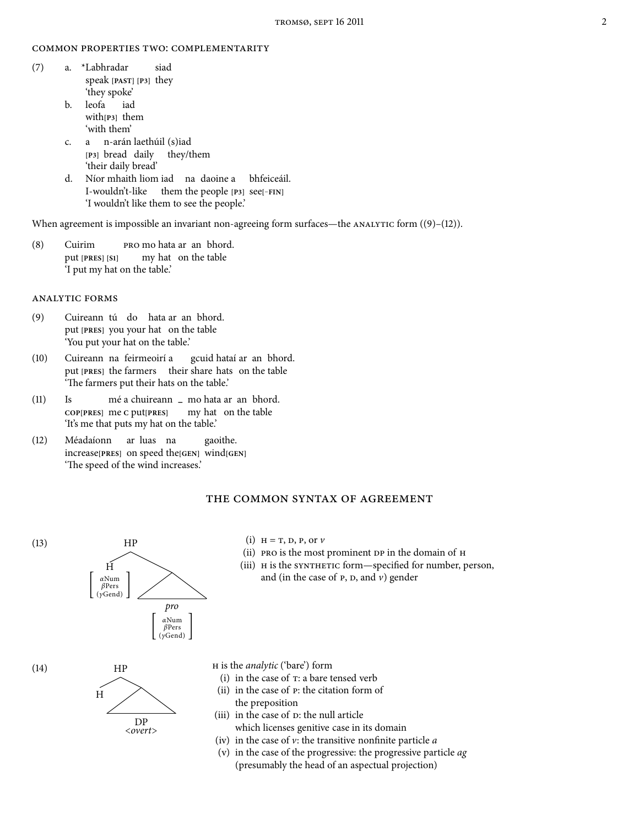#### COMMON PROPERTIES TWO: COMPLEMENTARITY

- () a. \*Labhradar speak [PAST] [P3] they siad 'they spoke'
	- b. leofa with<sub>[P3]</sub> them iad 'with them'
	- c. a n-arán laethúil (s)iad [P<sub>3</sub>] bread daily they/them 'their daily bread'
	- d. Níor mhaith liom iad na daoine a I-wouldn't-like them the people [P3] see[-FIN] bhfeiceáil. 'I wouldn't like them to see the people.'

When agreement is impossible an invariant non-agreeing form surfaces—the  $ANALYTIC$  form  $((9)-(12))$ .

(8) Cuirim put **[PRES] [S]** mo hata ar an bhord. my hat on the table 'I put my hat on the table.'

### **ANALYTIC FORMS**

- () Cuireann tú do hata ar an bhord. put [PRES] you your hat on the table 'You put your hat on the table.'
- (10) Cuireann na feirmeoirí a put [PRES] the farmers their share hats on the table gcuid hataí ar an bhord. 'The farmers put their hats on the table.'
- $(11)$  Is **COP[PRES]** me **C** put**[PRES]** mé a chuireann **–** mo hata ar an bhord. my hat on the table 'It's me that puts my hat on the table.'
- (12) Méadaíonn increase**[PRES]** on speed the**[GEN]** wind**[GEN]** ar luas na gaoithe. 'The speed of the wind increases.'

#### THE COMMON SYNTAX OF AGREEMENT



(v) in the case of the progressive: the progressive particle ag (presumably the head of an aspectual projection)

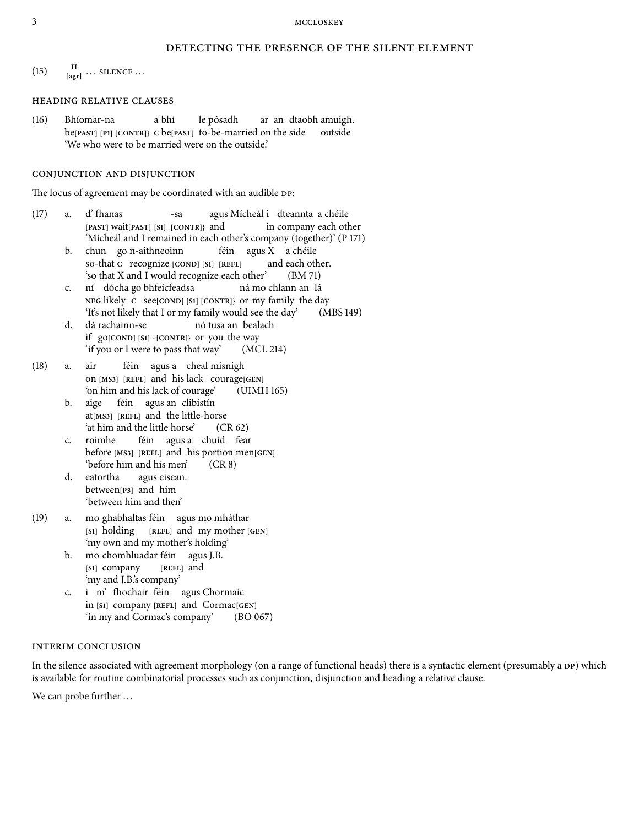### DETECTING THE PRESENCE OF THE SILENT ELEMENT

(15)  $\frac{H}{[agr]} \dots$  SILENCE ...

#### **HEADING RELATIVE CLAUSES**

(16) Bhíomar-na be**[PAST] [P] [CONTR]} C** be**[PAST]** to-be-married on the side a bhí le pósadh ar an dtaobh amuigh. outside 'We who were to be married were on the outside.'

## CONJUNCTION AND DISJUNCTION

The locus of agreement may be coordinated with an audible DP:

- $(17)$  a. d'fhanas **[PAST]** wait**[PAST] [S] [CONTR]}** and -sa agus Mícheál i dteannta a chéile in company each other 'Mícheál and I remained in each other's company (together)' (P 171)
	- b. chun go n-aithneoinn so-that **C** recognize **[COND] [S] [REFL]** féin agus X a chéile and each other. 'so that  $X$  and I would recognize each other' (BM 71)
	- c. **NEG** likely **C** see**[COND] [S] [CONTR]}** or my family the day dócha go bhfeicfeadsa ná mo chlann an lá 'It's not likely that I or my family would see the day' (MBS 149)
	- d. dá rachainn-se if go<sup>[COND]</sup> [S1] -[CONTR]} or you the way nó tusa an bealach 'if you or I were to pass that way'  $(MCL 214)$
- (18) a. air on **[MS] [REFL]** and his lack courage**[GEN]** féin agus a cheal misnigh 'on him and his lack of courage' (UIMH 165)
	- b. aige at**[MS] [REFL]** and the little-horse féin agus an clibistín 'at him and the little horse'  $(CR 62)$
	- c. roimhe before **[MS] [REFL]** and his portion men**[GEN]** féin agus a chuid fear 'before him and his men'  $(CR 8)$
	- d. eatortha between<sub>[P3]</sub> and him agus eisean. 'between him and then'
- () a. mo ghabhaltas féin agus mo mháthar **[S]** holding **[REFL]** and my mother **[GEN]** 'my own and my mother's holding'
	- b. mo chomhluadar féin agus J.B. [\$1] company **[REFL]** and 'my and J.B.'s company'
	- c. in [S1] company [REFL] and Cormac<sup>[GEN]</sup> m' fhochair féin agus Chormaic 'in my and Cormac's company' (BO 067)

#### **INTERIM CONCLUSION**

In the silence associated with agreement morphology (on a range of functional heads) there is a syntactic element (presumably a DP) which is available for routine combinatorial processes such as conjunction, disjunction and heading a relative clause.

We can probe further ...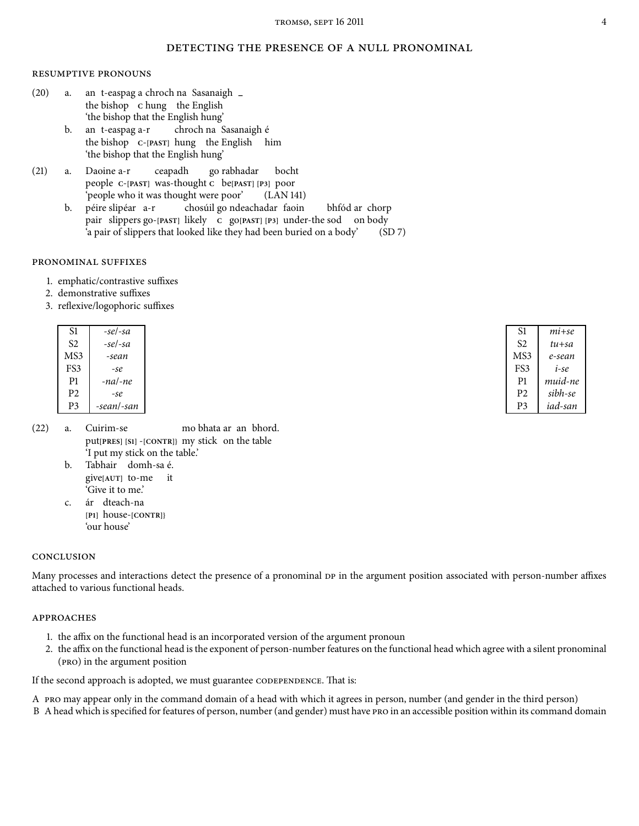### DETECTING THE PRESENCE OF A NULL PRONOMINAL

#### **RESUMPTIVE PRONOUNS**

- $(20)$  a. the bishop **C** hung the English t-easpag a chroch na Sasanaigh **–** 'the bishop that the English hung'
	- b. an t-easpag a-r the bishop **C**-**[PAST]** hung the English him chroch na Sasanaigh é 'the bishop that the English hung'
- (21) a. Daoine a-r people **C-**[PAST] was-thought **C** be[PAST] [P3] poor ceapadh go rabhadar bocht 'people who it was thought were poor' (LAN 141)
	- b. péire slipéar a-r pair slippers go-[PAST] likely c go[PAST] [P3] under-the sod on body chosúil go ndeachadar faoin bhfód ar chorp 'a pair of slippers that looked like they had been buried on a body' (SD 7)

#### PRONOMINAL SUFFIXES

- . emphatic/contrastive suffixes
- . demonstrative suffixes
- . reflexive/logophoric suffixes

| S1             | -sel-sa    |
|----------------|------------|
| S2.            | -sel-sa    |
| MS3            | -sean      |
| FS3            | -se        |
| P <sub>1</sub> | -na/-ne    |
| P <sub>2</sub> | -se        |
| P3             | -sean/-san |

- $(22)$  a. Cuirim-se put**[PRES] [S]** -**[CONTR]}** my stick on the table mo bhata ar an bhord. 'I put my stick on the table.'
	- b. Tabhair domh-sa é. give**[AUT]** to-me it 'Give it to me.'
	- c. ár dteach-na **[P]** house-**[CONTR]}** 'our house'

#### **CONCLUSION**

Many processes and interactions detect the presence of a pronominal  $DP$  in the argument position associated with person-number affixes attached to various functional heads.

#### **APPROACHES**

- . the affix on the functional head is an incorporated version of the argument pronoun
- . the affix on the functional head is the exponent of person-number features on the functional head which agree with a silent pronominal (PRO) in the argument position

If the second approach is adopted, we must guarantee CODEPENDENCE. That is:

A may appear only in the command domain of a head with which it agrees in person, number (and gender in the third person)

B A head which is specified for features of person, number (and gender) must have PRO in an accessible position within its command domain

| S1             | mi+se     |
|----------------|-----------|
| S2.            | $tu + sa$ |
| MS3            | e-sean    |
| FS3            | i-se      |
| P1             | muid-ne   |
| P <sub>2</sub> | sibh-se   |
| P3             | iad-san   |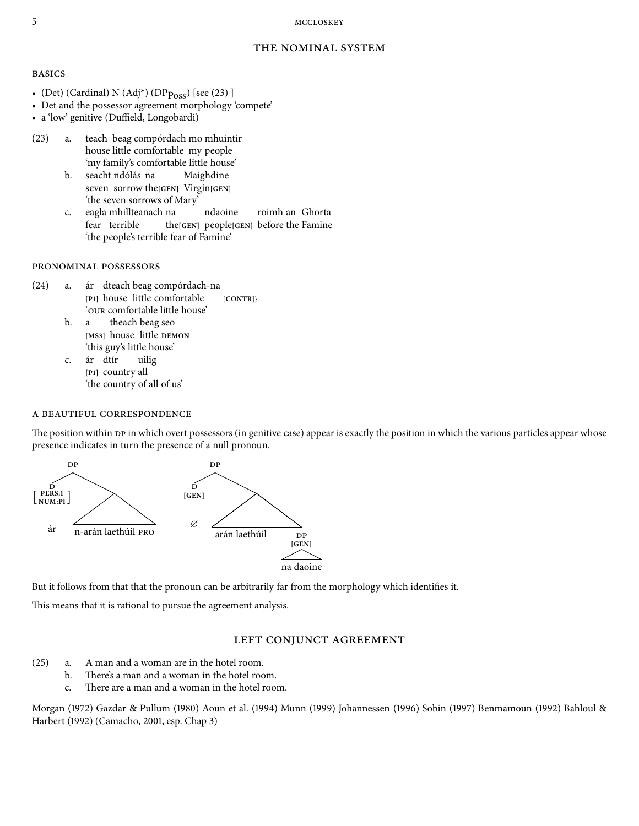#### 5 MCCLOSKEY

#### THE NOMINAL SYSTEM

#### **BASICS**

- (Det) (Cardinal) N (Adj<sup>\*</sup>) (DP<sub>Poss</sub>) [see (23) ]
- Det and the possessor agreement morphology 'compete'
- a 'low' genitive (Duffield, Longobardi)
- (23) a. teach beag compórdach mo mhuintir house little comfortable my people 'my family's comfortable little house'
	- b. seacht ndólás na seven sorrow the**[GEN]** Virgin**[GEN]** Maighdine 'the seven sorrows of Mary'
	- c. eagla mhillteanach na fear terrible the**[GEN]** people**[GEN]** before the Famine ndaoine roimh an Ghorta 'the people's terrible fear of Famine'

#### PRONOMINAL POSSESSORS

- $(24)$  a. **[P]** house little comfortable **[CONTR]}** dteach beag compórdach-na ' our comfortable little house'
	- b. a **[MS]** house little **DEMON** theach beag seo 'this guy's little house'
	- c. [P<sub>1</sub>] country all ár dtír uilig 'the country of all of us'

#### A BEAUTIFUL CORRESPONDENCE

The position within DP in which overt possessors (in genitive case) appear is exactly the position in which the various particles appear whose presence indicates in turn the presence of a null pronoun.



But it follows from that that the pronoun can be arbitrarily far from the morphology which identifies it.

This means that it is rational to pursue the agreement analysis.

#### LEFT CONJUNCT AGREEMENT

- $(25)$  a. A man and a woman are in the hotel room.
	- b. There's a man and a woman in the hotel room.
	- c. There are a man and a woman in the hotel room.

Morgan (1972) Gazdar & Pullum (1980) Aoun et al. (1994) Munn (1999) Johannessen (1996) Sobin (1997) Benmamoun (1992) Bahloul & Harbert (1992) (Camacho, 2001, esp. Chap 3)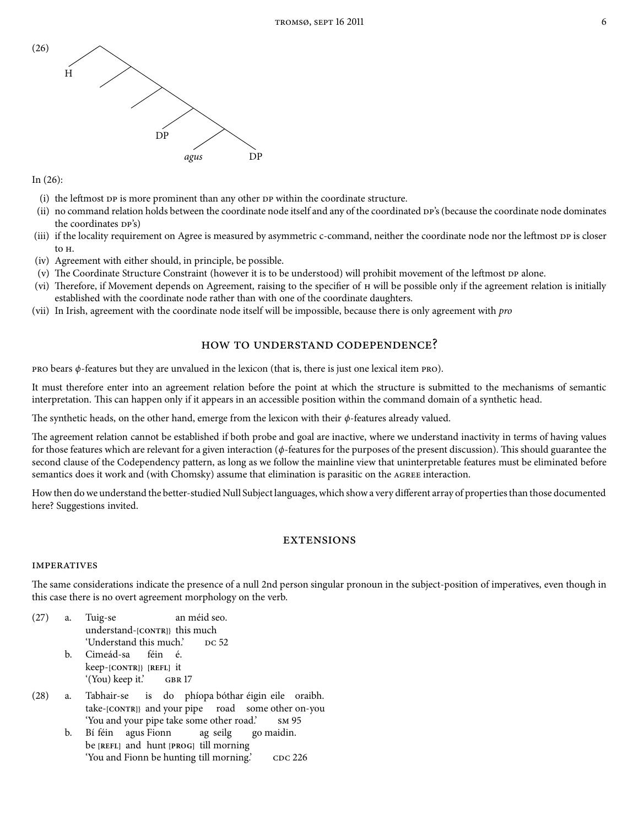

In  $(26)$ :

- (i) the leftmost  $DP$  is more prominent than any other  $DP$  within the coordinate structure.
- (ii) no command relation holds between the coordinate node itself and any of the coordinated  $DF$ 's (because the coordinate node dominates the coordinates  $DP's$ )
- (iii) if the locality requirement on Agree is measured by asymmetric c-command, neither the coordinate node nor the leftmost DP is closer to  $H$ .
- (iv) Agreement with either should, in principle, be possible.
- (v) The Coordinate Structure Constraint (however it is to be understood) will prohibit movement of the leftmost DP alone.
- (vi) Therefore, if Movement depends on Agreement, raising to the specifier of  $H$  will be possible only if the agreement relation is initially established with the coordinate node rather than with one of the coordinate daughters.
- (vii) In Irish, agreement with the coordinate node itself will be impossible, because there is only agreement with *pro*

## HOW TO UNDERSTAND CODEPENDENCE?

 $PRO$  bears  $\phi$ -features but they are unvalued in the lexicon (that is, there is just one lexical item  $PRO$ ).

It must therefore enter into an agreement relation before the point at which the structure is submitted to the mechanisms of semantic interpretation. This can happen only if it appears in an accessible position within the command domain of a synthetic head.

The synthetic heads, on the other hand, emerge from the lexicon with their  $\phi$ -features already valued.

The agreement relation cannot be established if both probe and goal are inactive, where we understand inactivity in terms of having values for those features which are relevant for a given interaction ( $\phi$ -features for the purposes of the present discussion). This should guarantee the second clause of the Codependency pattern, as long as we follow the mainline view that uninterpretable features must be eliminated before semantics does it work and (with Chomsky) assume that elimination is parasitic on the AGREE interaction.

How then do we understand the better-studied Null Subject languages, which show a very different array of properties than those documented here? Suggestions invited.

## **EXTENSIONS**

#### **IMPERATIVES**

The same considerations indicate the presence of a null 2nd person singular pronoun in the subject-position of imperatives, even though in this case there is no overt agreement morphology on the verb.

- $(27)$  a. Tuig-se understand-**[CONTR]}** this much an méid seo. 'Understand this much.'
	- b. Cimeád-sa keep-**[CONTR]} [REFL]** it féin é. '(You) keep it.'
- (28) a. Tabhair-se take-**[CONTR]}** and your pipe road some other on-you is do phíopa bóthar éigin eile oraibh. 'You and your pipe take some other road.'
	- b. Bí féin agus Fionn be **[REFL]** and hunt **[PROG]** till morning ag seilg go maidin. 'You and Fionn be hunting till morning.'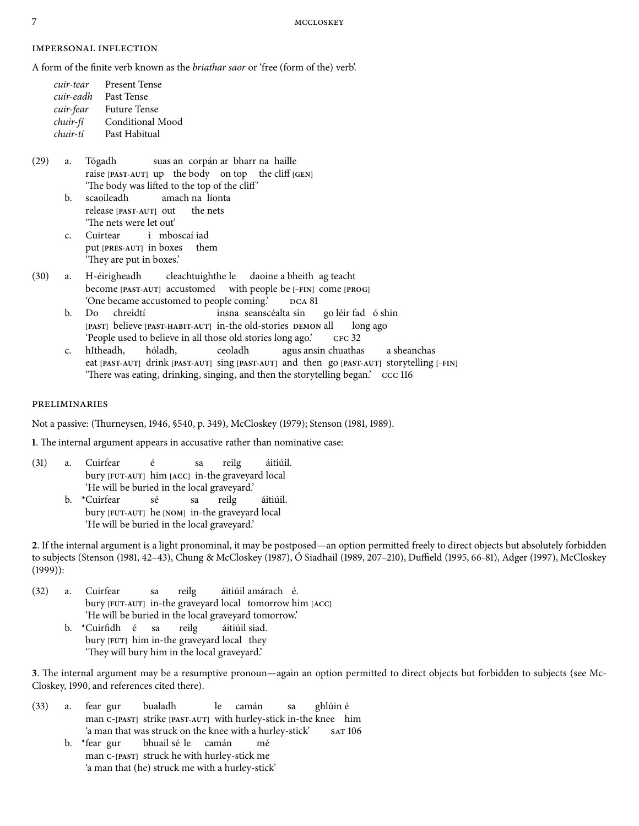#### **IMPERSONAL INFLECTION**

A form of the finite verb known as the briathar saor or 'free (form of the) verb'.

| cuir-tear | <b>Present Tense</b> |
|-----------|----------------------|
| cuir-eadh | Past Tense           |
| cuir-fear | <b>Future Tense</b>  |
| chuir-fí  | Conditional Mood     |
| chuir-tí  | Past Habitual        |

- (29) a. Tógadh raise [PAST-AUT] up the body on top the cliff [GEN] suas an corpán ar bharr na haille 'The body was lifted to the top of the cliff'
	- b. scaoileadh release **[PAST-AUT]** out amach na líonta the nets 'The nets were let out'
	- c. Cuirtear put **[PRES-AUT]** in boxes them i mboscaí iad 'They are put in boxes.'
- (30) a. H-éirigheadh become **[PAST-AUT]** accustomed with people be **[**−**FIN]** come **[PROG]** cleachtuighthe le daoine a bheith ag teacht 'One became accustomed to people coming.'
	- b. Do **[PAST]** believe **[PAST-HABIT-AUT]** in-the old-stories **DEMON** all chreidtí insna seanscéalta sin go léir fad ó shin long ago 'People used to believe in all those old stories long ago.'
	- c. hItheadh, eat **[PAST-AUT]** drink **[PAST-AUT]** sing **[PAST-AUT]** and then go **[PAST-AUT]** storytelling **[**−**FIN]** hóladh, ceoladh agus ansin chuathas a sheanchas 'There was eating, drinking, singing, and then the storytelling began.' ccc 116

#### **PRELIMINARIES**

Not a passive: (Thurneysen, 1946, \$540, p. 349), McCloskey (1979); Stenson (1981, 1989).

**1.** The internal argument appears in accusative rather than nominative case:

- (31) a. Cuirfear bury **[FUT-AUT]** him **[ACC]** in-the graveyard local é sa reilg áitiúil. 'He will be buried in the local graveyard.'
	- b. \*Cuirfear bury **[FUT-AUT]** he **[NOM]** in-the graveyard local sé sa reilg áitiúil. 'He will be buried in the local graveyard.'

. If the internal argument is a light pronominal, it may be postposed—an option permitted freely to direct objects but absolutely forbidden to subjects (Stenson (1981, 42–43), Chung & McCloskey (1987), Ó Siadhail (1989, 207–210), Duffield (1995, 66-81), Adger (1997), McCloskey  $(1999)$ :

- (32) a. Cuirfear bury **[FUT-AUT]** in-the graveyard local tomorrow him **[ACC]** sa reilg áitiúil amárach é. 'He will be buried in the local graveyard tomorrow.'
	- b. \*Cuirfidh é bury [FUT] him in-the graveyard local they sa reilg áitiúil siad. 'They will bury him in the local graveyard.'

3. The internal argument may be a resumptive pronoun—again an option permitted to direct objects but forbidden to subjects (see Mc-Closkey, 1990, and references cited there).

- (33) a. fear gur man **<sup>C</sup>**-**[PAST]** strike **[PAST-AUT]** with hurley-stick in-the knee him bualadh  $l_{\rm P}$ camán sa ghlúin é 'a man that was struck on the knee with a hurley-stick'
	- b. \*fear gur man **<sup>C</sup>**-**[PAST]** struck he with hurley-stick me bhuail sé le camán mé 'a man that (he) struck me with a hurley-stick'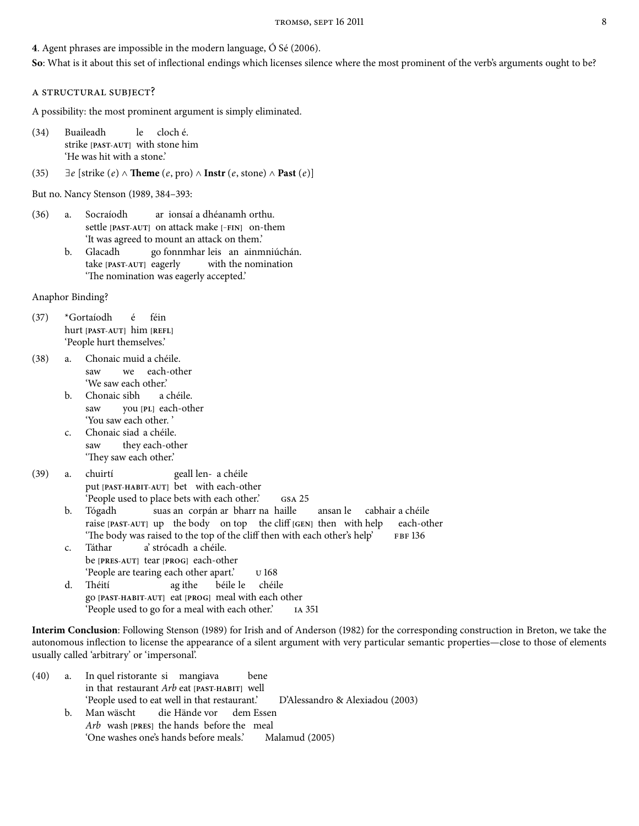#### 4. Agent phrases are impossible in the modern language,  $\acute{o}$  Sé (2006).

**So**: What is it about this set of inflectional endings which licenses silence where the most prominent of the verb's arguments ought to be?

#### A STRUCTURAL SUBJECT?

A possibility: the most prominent argument is simply eliminated.

- (34) Buaileadh strike **[PAST-AUT]** with stone him le cloch é. 'He was hit with a stone.'
- (35)  $\exists e$  [strike (e)  $\land$  **Theme** (e, pro)  $\land$  **Instr** (e, stone)  $\land$  **Past** (e)]

But no. Nancy Stenson (1989, 384-393:

- () a. Socraíodh settle **[PAST-AUT]** on attack make **[**−**FIN]** on-them ar ionsaí a dhéanamh orthu. 'It was agreed to mount an attack on them.'
	- b. Glacadh take **[PAST-AUT]** eagerly go fonnmhar leis an ainmniúchán. with the nomination 'The nomination was eagerly accepted.'

Anaphor Binding?

- (37) \*Gortaíodh hurt **[PAST-AUT]** him **[REFL]** é féin 'People hurt themselves.'
- () a. Chonaic muid a chéile. saw we each-other 'We saw each other.'
	- b. Chonaic sibh saw you **[PL]** each-other a chéile. 'You saw each other. '
	- c. Chonaic siad a chéile. saw they each-other 'They saw each other.'
- (39) a. chuirtí put **[PAST-HABIT-AUT]** bet with each-other geall len-a chéile People used to place bets with each other.' GSA 25
	- b. Tógadh raise [PAST-AUT] up the body on top the cliff [GEN] then with help suas an corpán ar bharr na haille ansan le cabhair a chéile each-other 'The body was raised to the top of the cliff then with each other's help' FBF 136
	- c. Táthar be **[PRES-AUT]** tear **[PROG]** each-other a' strócadh a chéile. 'People are tearing each other apart.'
	- d. Théití go **[PAST-HABIT-AUT]** eat **[PROG]** meal with each other ag ithe béile le chéile 'People used to go for a meal with each other.'

Interim Conclusion: Following Stenson (1989) for Irish and of Anderson (1982) for the corresponding construction in Breton, we take the autonomous inflection to license the appearance of a silent argument with very particular semantic properties—close to those of elements usually called 'arbitrary' or 'impersonal'.

- $(40)$  a. in that restaurant Arb eat **[PAST-HABIT]** well quel ristorante si mangiava bene 'People used to eat well in that restaurant.' D'Alessandro & Alexiadou (2003) b. Man wäscht Arb wash [PRES] the hands before the meal die Hände vor dem Essen
	- 'One washes one's hands before meals.' Malamud (2005)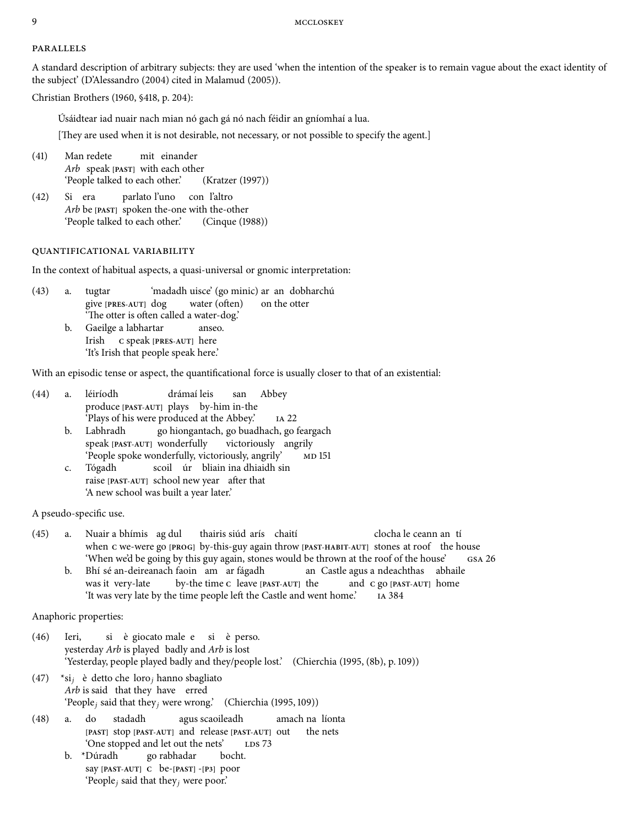#### **PARALLELS**

A standard description of arbitrary subjects: they are used 'when the intention of the speaker is to remain vague about the exact identity of the subject' (D'Alessandro (2004) cited in Malamud (2005)).

Christian Brothers (1960, §418, p. 204):

Úsáidtear iad nuair nach mian nó gach gá nó nach féidir an gníomhaí a lua.

[They are used when it is not desirable, not necessary, or not possible to specify the agent.]

- (41) Man redete Arb speak **[PAST]** with each other mit einander 'People talked to each other.' (Kratzer (1997))
- $(42)$ Arb be [PAST] spoken the-one with the-other Si era parlato l'uno con l'altro 'People talked to each other.' (Cinque (1988))

## QUANTIFICATIONAL VARIABILITY

In the context of habitual aspects, a quasi-universal or gnomic interpretation:

- $(43)$  a. tugtar give **[PRES-AUT]** dog 'madadh uisce' (go minic) ar an dobharchú water (often) on the otter 'The otter is often called a water-dog.'
	- b. Gaeilge a labhartar Irish **C** speak **[PRES-AUT]** here anseo. 'It's Irish that people speak here.'

With an episodic tense or aspect, the quantificational force is usually closer to that of an existential:

- (44) a. léiríodh produce **[PAST-AUT]** plays by-him in-the drámaí leis san Abbey 'Plays of his were produced at the Abbey.'
	- b. Labhradh speak **[PAST-AUT]** wonderfully go hiongantach, go buadhach, go feargach victoriously angrily 'People spoke wonderfully, victoriously, angrily'
	- c. Tógadh raise [PAST-AUT] school new year after that scoil úr bliain ina dhiaidh sin 'A new school was built a year later.'

A pseudo-specific use.

- () a. Nuair a bhímis ag dul when c we-were go [PROG] by-this-guy again throw [PAST-HABIT-AUT] stones at roof the house thairis siúd arís chaití clocha le ceann an tí 'When we'd be going by this guy again, stones would be thrown at the roof of the house'
	- b. Bhí sé an-deireanach faoin am ar fágadh was it very-late by-the time **C** leave **[PAST-AUT]** the an Castle agus a ndeachthas abhaile and **C** go **[PAST-AUT]** home 'It was very late by the time people left the Castle and went home.' IA 384

Anaphoric properties:

- (46) Ieri, yesterday Arb is played badly and Arb is lost si è giocato male e si è perso. 'Yesterday, people played badly and they/people lost.' (Chierchia (1995, (8b), p. 109))
- (47) \*si<sub>j</sub> è detto che loro<sub>j</sub> hanno sbagliato Arb is said that they have erred 'People<sub>i</sub> said that they<sub>i</sub> were wrong.' (Chierchia (1995, 109))
- $(48)$  a. do **[PAST]** stop **[PAST-AUT]** and release **[PAST-AUT]** out stadadh agus scaoileadh amach na líonta the nets 'One stopped and let out the nets'
	- b. \*Dúradh say **[PAST-AUT] C** be-**[PAST]** -**[P]** poor go rabhadar bocht. 'People<sub>i</sub> said that they<sub>i</sub> were poor.'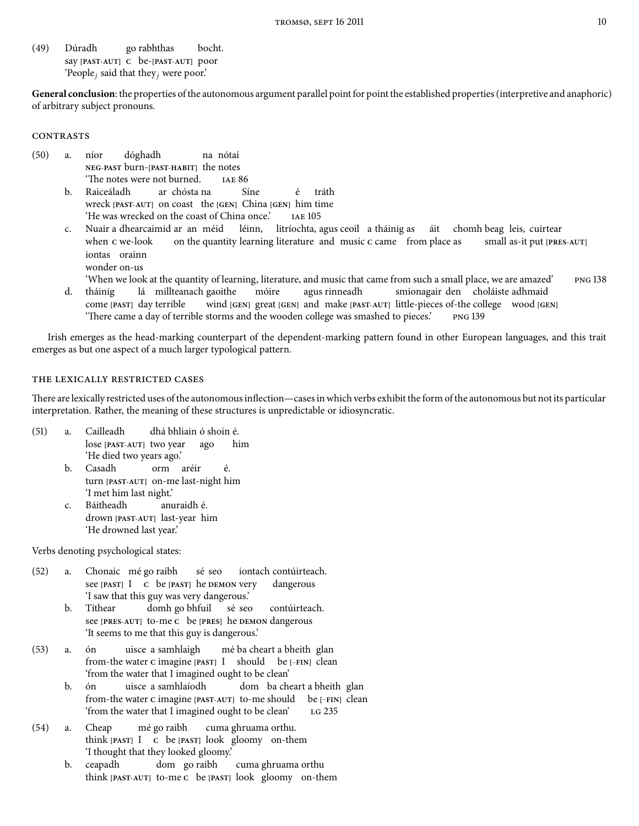(49) Dúradh say **[PAST-AUT] C** be-**[PAST-AUT]** poor go rabhthas bocht. 'People<sub>j</sub> said that they<sub>j</sub> were poor.'

**General conclusion**: the properties of the autonomous argument parallel point for point the established properties (interpretive and anaphoric) of arbitrary subject pronouns.

#### **CONTRASTS**

- (50) a. níor **NEG-PAST** burn-**[PAST-HABIT]** the notes dóghadh na nótaí 'The notes were not burned. IAE 86
	- b. Raiceáladh wreck **[PAST-AUT]** on coast the **[GEN]** China **[GEN]** him time ar chósta na Síne é tráth 'He was wrecked on the coast of China once.'
	- c. Nuair a dhearcaimid ar an méid léinn, litríochta, agus ceoil a tháinig as áit chomh beag leis, cuirtear when c we-look on the quantity learning literature and music c came from place as small as-it put **[PRES-AUT]** iontas orainn wonder on-us
		- 'When we look at the quantity of learning, literature, and music that came from such a small place, we are amazed'
	- d. tháinig come **[PAST]** day terrible lá millteanach gaoithe wind **[GEN]** great **[GEN]** and make **[PAST-AUT]** little-pieces of-the college wood **[GEN]** móire agus rinneadh smionagair den choláiste adhmaid 'There came a day of terrible storms and the wooden college was smashed to pieces.' PNG 139

Irish emerges as the head-marking counterpart of the dependent-marking pattern found in other European languages, and this trait emerges as but one aspect of a much larger typological pattern.

#### THE LEXICALLY RESTRICTED CASES

There are lexically restricted uses of the autonomous inflection—cases in which verbs exhibit the form of the autonomous but not its particular interpretation. Rather, the meaning of these structures is unpredictable or idiosyncratic.

- (51) a. Cailleadh lose **[PAST-AUT]** two year dhá bhliain ó shoin é. ago him 'He died two years ago.'
	- b. Casadh turn **[PAST-AUT]** on-me last-night him orm aréir é. 'I met him last night.'
	- c. Báitheadh drown **[PAST-AUT]** last-year him anuraidh é. 'He drowned last year.'

Verbs denoting psychological states:

- (52) a. Chonaic mé go raibh see **[PAST]** I **C** be **[PAST]** he **DEMON** very sé seo iontach contúirteach. dangerous 'I saw that this guy was very dangerous.'
	- b. Títhear see **[PRES-AUT]** to-me **C** be **[PRES]** he **DEMON** dangerous domh go bhfuil sé seo contúirteach. 'It seems to me that this guy is dangerous.'
- $(53)$  a. ón from-the water **C** imagine **[PAST]** I should be **[**−**FIN]** clean uisce a samhlaigh mé ba cheart a bheith glan 'from the water that I imagined ought to be clean'
	- b. ón from-the water **C** imagine **[PAST-AUT]** to-me should be **[**−**FIN]** clean uisce a samhlaíodh dom ba cheart a bheith glan 'from the water that I imagined ought to be clean'
- $(54)$  a. Cheap think **[PAST]** I **C** be **[PAST]** look gloomy on-them mé go raibh cuma ghruama orthu. 'I thought that they looked gloomy.'
	- b. ceapadh think **[PAST-AUT]** to-me **C** be **[PAST]** look gloomy on-themdom go raibh cuma ghruama orthu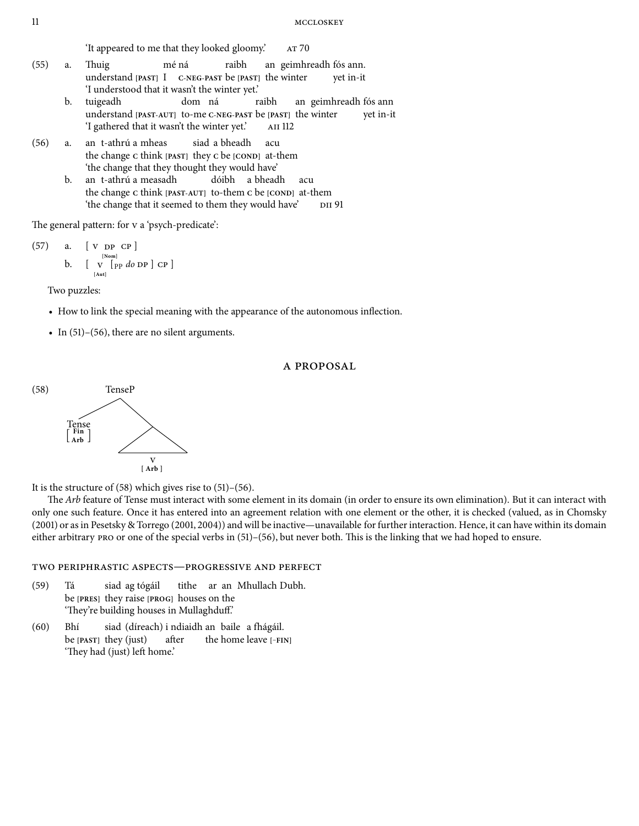'It appeared to me that they looked gloomy.'

- $(55)$  a. Thuig understand **[PAST]** I **C-NEG-PAST** be **[PAST]** the winter mé ná raibh an geimhreadh fós ann. yet in-it 'I understood that it wasn't the winter yet.'
	- b. tuigeadh understand **[PAST-AUT]** to-me **C-NEG-PAST** be **[PAST]** the winter dom ná raibh an geimhreadh fós ann yet in-it 'I gathered that it wasn't the winter yet.'
- $(56)$  a. the change c think [PAST] they c be [COND] at-them t-athrú a mheas siad a bheadh acu 'the change that they thought they would have'
	- $b$ . the change c think [PAST-AUT] to-them c be [COND] at-them t-athrú a measadh dóibh a bheadh acu 'the change that it seemed to them they would have'

The general pattern: for v a 'psych-predicate':

(57) a. [V DP CP]  
b. [V<sub>[Non]</sub>  

$$
\begin{bmatrix} 1 \\ 1 \end{bmatrix}
$$

Two puzzles:

- How to link the special meaning with the appearance of the autonomous inflection.
- In  $(51)$ – $(56)$ , there are no silent arguments.

## A PROPOSAL



It is the structure of  $(58)$  which gives rise to  $(51)$ – $(56)$ .

The Arb feature of Tense must interact with some element in its domain (in order to ensure its own elimination). But it can interact with only one such feature. Once it has entered into an agreement relation with one element or the other, it is checked (valued, as in Chomsky (2001) or as in Pesetsky & Torrego (2001, 2004)) and will be inactive—unavailable for further interaction. Hence, it can have within its domain either arbitrary  $PRO$  or one of the special verbs in  $(51)$ – $(56)$ , but never both. This is the linking that we had hoped to ensure.

## TWO PERIPHRASTIC ASPECTS-PROGRESSIVE AND PERFECT

- (59) Tá be **[PRES]** they raise **[PROG]** houses on the siad ag tógáil tithe ar an Mhullach Dubh. 'They're building houses in Mullaghduff.'
- $(60)$  Bhí be **[PAST]** they (just) siad (díreach) i ndiaidh an baile a fhágáil. after the home leave **[**−**FIN]** 'They had (just) left home.'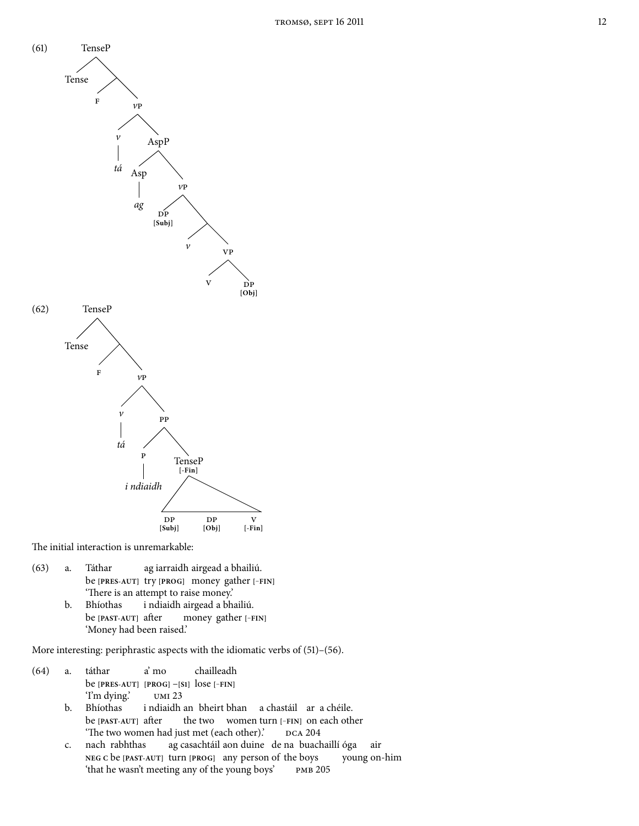

The initial interaction is unremarkable:

- (63) a. Táthar be **[PRES-AUT]** try **[PROG]** money gather **[**−**FIN]** ag iarraidh airgead a bhailiú. 'There is an attempt to raise money.'
	- b. Bhíothas be **[PAST-AUT]** after i ndiaidh airgead a bhailiú. money gather **[**−**FIN]** 'Money had been raised.'

More interesting: periphrastic aspects with the idiomatic verbs of  $(51)$ – $(56)$ .

- (64) a. táthar be **[PRES-AUT] [PROG]** –**[S]** lose **[**−**FIN]** a' mo chailleadh 'I'm dying.'
	- b. Bhíothas be **[PAST-AUT]** after i ndiaidh an bheirt bhan a chastáil ar a chéile. the two women turn **[**−**FIN]** on each other 'The two women had just met (each other).' DCA 204
	- c. nach rabhthas **NEG C** be **[PAST-AUT]** turn **[PROG]** any person of the boys ag casachtáil aon duine de na buachaillí óga young on-him air 'that he wasn't meeting any of the young boys' PMB 205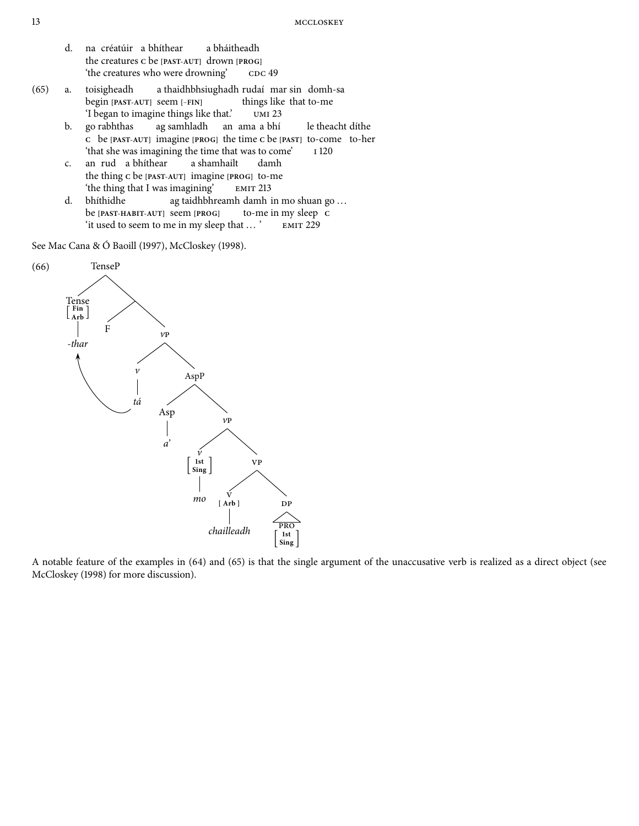- d. na créatúir a bhíthear the creatures **C** be **[PAST-AUT]** drown **[PROG]** a bháitheadh 'the creatures who were drowning'
- (65) a. toisigheadh begin **[PAST-AUT]** seem **[**−**FIN]** a thaidhbhsiughadh rudaí mar sin domh-sa things like that to-me 'I began to imagine things like that.'
	- b. go rabhthas **C** be **[PAST-AUT]** imagine **[PROG]** the time **C** be **[PAST]** to-come to-her ag samhladh an ama a bhí le theacht díthe 'that she was imagining the time that was to come'
	- c. the thing **C** be **[PAST-AUT]** imagine **[PROG]** to-me rud a bhíthear a shamhailt damh 'the thing that I was imagining'
	- d. bhíthidhe be **[PAST-HABIT-AUT]** seem **[PROG]** ag taidhbhreamh damh in mo shuan go ... to-me in my sleep **C** 'it used to seem to me in my sleep that ... '

See Mac Cana & Ó Baoill (1997), McCloskey (1998).



A notable feature of the examples in (64) and (65) is that the single argument of the unaccusative verb is realized as a direct object (see McCloskey (1998) for more discussion).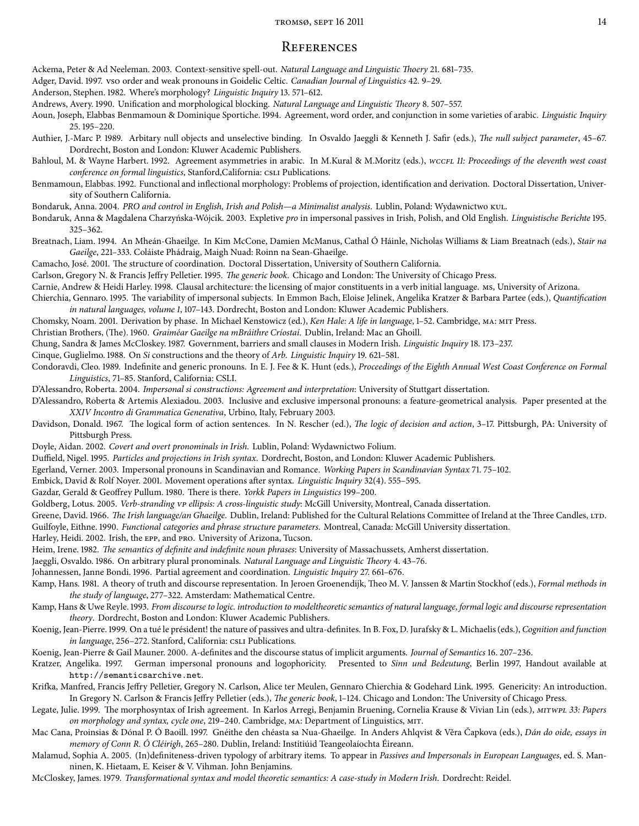## **REFERENCES**

Ackema, Peter & Ad Neeleman. 2003. Context-sensitive spell-out. Natural Language and Linguistic Thoery 21. 681-735.

Adger, David. 1997. vso order and weak pronouns in Goidelic Celtic. Canadian Journal of Linguistics 42. 9-29.

Anderson, Stephen. 1982. Where's morphology? Linguistic Inquiry 13. 571-612.

Andrews, Avery. 1990. Unification and morphological blocking. Natural Language and Linguistic Theory 8. 507-557.

Aoun, Joseph, Elabbas Benmamoun & Dominique Sportiche. 1994. Agreement, word order, and conjunction in some varieties of arabic. Linguistic Inquiry 25.195-220.

Authier, J.-Marc P. 1989. Arbitary null objects and unselective binding. In Osvaldo Jaeggli & Kenneth J. Safir (eds.), The null subject parameter, 45-67. Dordrecht, Boston and London: Kluwer Academic Publishers.

Bahloul, M. & Wayne Harbert. 1992. Agreement asymmetries in arabic. In M.Kural & M.Moritz (eds.), wccrL 11: Proceedings of the eleventh west coast conference on formal linguistics, Stanford, California: CSLI Publications.

Benmamoun, Elabbas. 1992. Functional and inflectional morphology: Problems of projection, identification and derivation. Doctoral Dissertation, University of Southern California.

Bondaruk, Anna. 2004. PRO and control in English, Irish and Polish—a Minimalist analysis. Lublin, Poland: Wydawnictwo KUL.

Bondaruk, Anna & Magdalena Charzyńska-Wójcik. 2003. Expletive pro in impersonal passives in Irish, Polish, and Old English. Linguistische Berichte 195.  $325 - 362.$ 

Breatnach, Liam. 1994. An Mheán-Ghaeilge. In Kim McCone, Damien McManus, Cathal Ó Háinle, Nicholas Williams & Liam Breatnach (eds.), Stair na Gaeilge, 221-333. Coláiste Phádraig, Maigh Nuad: Roinn na Sean-Ghaeilge.

Camacho, José. 2001. The structure of coordination. Doctoral Dissertation, University of Southern California.

Carlson, Gregory N. & Francis Jeffry Pelletier. 1995. The generic book. Chicago and London: The University of Chicago Press.

Carnie, Andrew & Heidi Harley. 1998. Clausal architecture: the licensing of major constituents in a verb initial language. Ms, University of Arizona.

Chierchia, Gennaro. 1995. The variability of impersonal subjects. In Emmon Bach, Eloise Jelinek, Angelika Kratzer & Barbara Partee (eds.), Quantification in natural languages, volume 1, 107-143. Dordrecht, Boston and London: Kluwer Academic Publishers.

Chomsky, Noam. 2001. Derivation by phase. In Michael Kenstowicz (ed.), Ken Hale: A life in language, 1-52. Cambridge, MA: MIT Press.

Christian Brothers, (The). 1960. Graiméar Gaeilge na mBráithre Críostaí. Dublin, Ireland: Mac an Ghoill.

Chung, Sandra & James McCloskey. 1987. Government, barriers and small clauses in Modern Irish. Linguistic Inquiry 18. 173-237.

Cinque, Guglielmo. 1988. On Si constructions and the theory of Arb. Linguistic Inquiry 19. 621–581.

Condoravdi, Cleo. 1989. Indefinite and generic pronouns. In E. J. Fee & K. Hunt (eds.), Proceedings of the Eighth Annual West Coast Conference on Formal Linguistics, 71-85. Stanford, California: CSLI.

D'Alessandro, Roberta. 2004. Impersonal si constructions: Agreement and interpretation: University of Stuttgart dissertation.

D'Alessandro, Roberta & Artemis Alexiadou. 2003. Inclusive and exclusive impersonal pronouns: a feature-geometrical analysis. Paper presented at the XXIV Incontro di Grammatica Generativa, Urbino, Italy, February 2003.

Davidson, Donald. 1967. The logical form of action sentences. In N. Rescher (ed.), The logic of decision and action, 3-17. Pittsburgh, PA: University of Pittsburgh Press.

Doyle, Aidan. 2002. Covert and overt pronominals in Irish. Lublin, Poland: Wydawnictwo Folium.

Duffield, Nigel. 1995. Particles and projections in Irish syntax. Dordrecht, Boston, and London: Kluwer Academic Publishers.

Egerland, Verner. 2003. Impersonal pronouns in Scandinavian and Romance. Working Papers in Scandinavian Syntax 71. 75-102.

Embick, David & Rolf Noyer. 2001. Movement operations after syntax. Linguistic Inquiry 32(4). 555-595.

Gazdar, Gerald & Geoffrey Pullum. 1980. There is there. Yorkk Papers in Linguistics 199-200.

Goldberg, Lotus. 2005. Verb-stranding vp ellipsis: A cross-linguistic study: McGill University, Montreal, Canada dissertation.

Greene, David. 1966. The Irish language/an Ghaeilge. Dublin, Ireland: Published for the Cultural Relations Committee of Ireland at the Three Candles, LTD. Guilfoyle, Eithne. 1990. Functional categories and phrase structure parameters. Montreal, Canada: McGill University dissertation.

Harley, Heidi. 2002. Irish, the EPP, and PRO. University of Arizona, Tucson.

Heim, Irene. 1982. The semantics of definite and indefinite noun phrases: University of Massachussets, Amherst dissertation.

Jaeggli, Osvaldo. 1986. On arbitrary plural pronominals. Natural Language and Linguistic Theory 4. 43-76.

Johannessen, Janne Bondi. 1996. Partial agreement and coordination. Linguistic Inquiry 27. 661-676.

Kamp, Hans. 1981. A theory of truth and discourse representation. In Jeroen Groenendijk, Theo M. V. Janssen & Martin Stockhof (eds.), Formal methods in the study of language, 277-322. Amsterdam: Mathematical Centre.

Kamp, Hans & Uwe Reyle. 1993. From discourse to logic. introduction to modeltheoretic semantics of natural language, formal logic and discourse representation theory. Dordrecht, Boston and London: Kluwer Academic Publishers.

Koenig, Jean-Pierre. 1999. On a tué le président! the nature of passives and ultra-definites. In B. Fox, D. Jurafsky & L. Michaelis (eds.), Cognition and function in language, 256-272. Stanford, California: CSLI Publications.

Koenig, Jean-Pierre & Gail Mauner. 2000. A-definites and the discourse status of implicit arguments. Journal of Semantics 16. 207-236.

Kratzer, Angelika. 1997. German impersonal pronouns and logophoricity. Presented to Sinn und Bedeutung, Berlin 1997, Handout available at http://semanticsarchive.net.

Krifka, Manfred, Francis Jeffry Pelletier, Gregory N. Carlson, Alice ter Meulen, Gennaro Chierchia & Godehard Link. 1995. Genericity: An introduction. In Gregory N. Carlson & Francis Jeffry Pelletier (eds.), The generic book, 1-124. Chicago and London: The University of Chicago Press.

Legate, Julie. 1999. The morphosyntax of Irish agreement. In Karlos Arregi, Benjamin Bruening, Cornelia Krause & Vivian Lin (eds.), MITWPL 33: Papers on morphology and syntax, cycle one, 219-240. Cambridge, MA: Department of Linguistics, MIT.

Mac Cana, Proinsias & Dónal P. Ó Baoill. 1997. Gnéithe den chéasta sa Nua-Ghaeilge. In Anders Ahlqvist & Věra Čapkova (eds.), Dán do oide, essays in memory of Conn R. Ó Cléirigh, 265-280. Dublin, Ireland: Institiúid Teangeolaíochta Éireann.

Malamud, Sophia A. 2005. (In)definiteness-driven typology of arbitrary items. To appear in Passives and Impersonals in European Languages, ed. S. Manninen, K. Hietaam, E. Keiser & V. Vihman. John Benjamins.

McCloskey, James. 1979. Transformational syntax and model theoretic semantics: A case-study in Modern Irish. Dordrecht: Reidel.